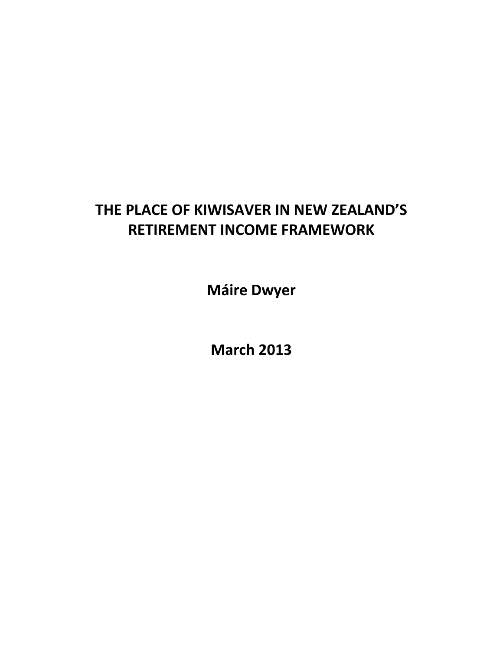# **THE PLACE OF KIWISAVER IN NEW ZEALAND'S RETIREMENT INCOME FRAMEWORK**

**Máire Dwyer**

**March 2013**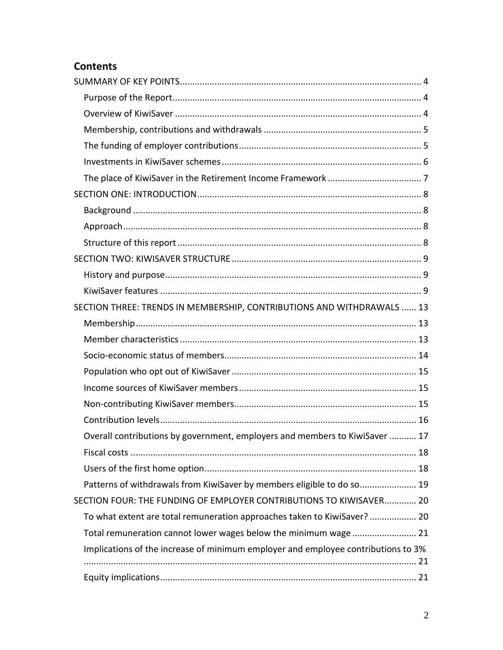## **Contents**

| SECTION THREE: TRENDS IN MEMBERSHIP, CONTRIBUTIONS AND WITHDRAWALS  13            |  |
|-----------------------------------------------------------------------------------|--|
|                                                                                   |  |
|                                                                                   |  |
|                                                                                   |  |
|                                                                                   |  |
|                                                                                   |  |
|                                                                                   |  |
|                                                                                   |  |
| Overall contributions by government, employers and members to KiwiSaver  17       |  |
|                                                                                   |  |
|                                                                                   |  |
| Patterns of withdrawals from KiwiSaver by members eligible to do so 19            |  |
| SECTION FOUR: THE FUNDING OF EMPLOYER CONTRIBUTIONS TO KIWISAVER 20               |  |
| To what extent are total remuneration approaches taken to KiwiSaver? 20           |  |
| Total remuneration cannot lower wages below the minimum wage  21                  |  |
| Implications of the increase of minimum employer and employee contributions to 3% |  |
|                                                                                   |  |
|                                                                                   |  |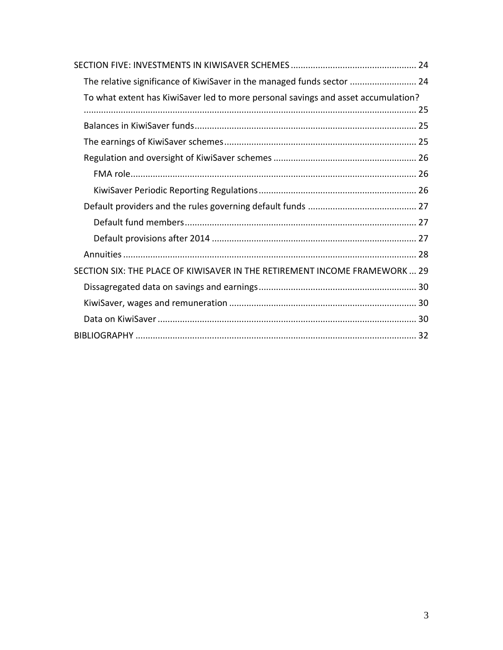| The relative significance of KiwiSaver in the managed funds sector  24            |
|-----------------------------------------------------------------------------------|
| To what extent has KiwiSaver led to more personal savings and asset accumulation? |
|                                                                                   |
|                                                                                   |
|                                                                                   |
|                                                                                   |
|                                                                                   |
|                                                                                   |
|                                                                                   |
|                                                                                   |
|                                                                                   |
|                                                                                   |
| SECTION SIX: THE PLACE OF KIWISAVER IN THE RETIREMENT INCOME FRAMEWORK  29        |
|                                                                                   |
|                                                                                   |
|                                                                                   |
|                                                                                   |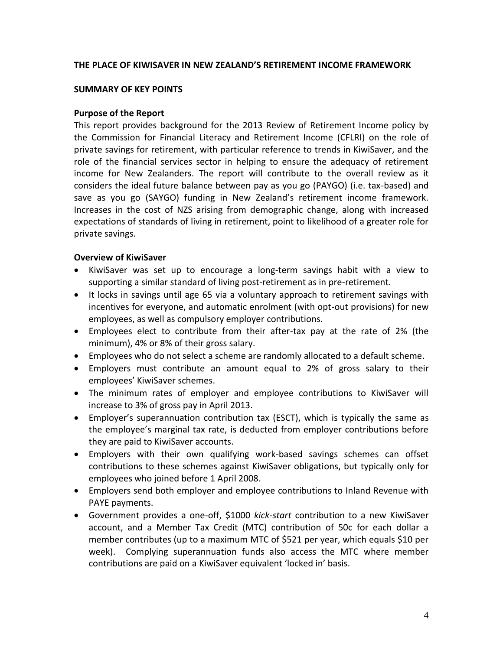#### **THE PLACE OF KIWISAVER IN NEW ZEALAND'S RETIREMENT INCOME FRAMEWORK**

#### <span id="page-3-0"></span>**SUMMARY OF KEY POINTS**

#### <span id="page-3-1"></span>**Purpose of the Report**

This report provides background for the 2013 Review of Retirement Income policy by the Commission for Financial Literacy and Retirement Income (CFLRI) on the role of private savings for retirement, with particular reference to trends in KiwiSaver, and the role of the financial services sector in helping to ensure the adequacy of retirement income for New Zealanders. The report will contribute to the overall review as it considers the ideal future balance between pay as you go (PAYGO) (i.e. tax-based) and save as you go (SAYGO) funding in New Zealand's retirement income framework. Increases in the cost of NZS arising from demographic change, along with increased expectations of standards of living in retirement, point to likelihood of a greater role for private savings.

#### <span id="page-3-2"></span>**Overview of KiwiSaver**

- KiwiSaver was set up to encourage a long-term savings habit with a view to supporting a similar standard of living post-retirement as in pre-retirement.
- It locks in savings until age 65 via a voluntary approach to retirement savings with incentives for everyone, and automatic enrolment (with opt-out provisions) for new employees, as well as compulsory employer contributions.
- Employees elect to contribute from their after-tax pay at the rate of 2% (the minimum), 4% or 8% of their gross salary.
- Employees who do not select a scheme are randomly allocated to a default scheme.
- Employers must contribute an amount equal to 2% of gross salary to their employees' KiwiSaver schemes.
- The minimum rates of employer and employee contributions to KiwiSaver will increase to 3% of gross pay in April 2013.
- Employer's superannuation contribution tax (ESCT), which is typically the same as the employee's marginal tax rate, is deducted from employer contributions before they are paid to KiwiSaver accounts.
- Employers with their own qualifying work-based savings schemes can offset contributions to these schemes against KiwiSaver obligations, but typically only for employees who joined before 1 April 2008.
- Employers send both employer and employee contributions to Inland Revenue with PAYE payments.
- Government provides a one-off, \$1000 *kick-start* contribution to a new KiwiSaver account, and a Member Tax Credit (MTC) contribution of 50c for each dollar a member contributes (up to a maximum MTC of \$521 per year, which equals \$10 per week). Complying superannuation funds also access the MTC where member contributions are paid on a KiwiSaver equivalent 'locked in' basis.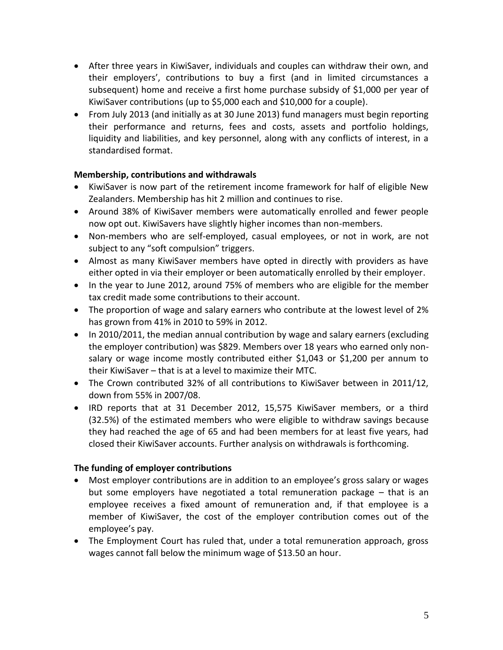- After three years in KiwiSaver, individuals and couples can withdraw their own, and their employers', contributions to buy a first (and in limited circumstances a subsequent) home and receive a first home purchase subsidy of \$1,000 per year of KiwiSaver contributions (up to \$5,000 each and \$10,000 for a couple).
- From July 2013 (and initially as at 30 June 2013) fund managers must begin reporting their performance and returns, fees and costs, assets and portfolio holdings, liquidity and liabilities, and key personnel, along with any conflicts of interest, in a standardised format.

## <span id="page-4-0"></span>**Membership, contributions and withdrawals**

- KiwiSaver is now part of the retirement income framework for half of eligible New Zealanders. Membership has hit 2 million and continues to rise.
- Around 38% of KiwiSaver members were automatically enrolled and fewer people now opt out. KiwiSavers have slightly higher incomes than non-members.
- Non-members who are self-employed, casual employees, or not in work, are not subject to any "soft compulsion" triggers.
- Almost as many KiwiSaver members have opted in directly with providers as have either opted in via their employer or been automatically enrolled by their employer.
- In the year to June 2012, around 75% of members who are eligible for the member tax credit made some contributions to their account.
- The proportion of wage and salary earners who contribute at the lowest level of 2% has grown from 41% in 2010 to 59% in 2012.
- In 2010/2011, the median annual contribution by wage and salary earners (excluding the employer contribution) was \$829. Members over 18 years who earned only nonsalary or wage income mostly contributed either \$1,043 or \$1,200 per annum to their KiwiSaver – that is at a level to maximize their MTC.
- The Crown contributed 32% of all contributions to KiwiSaver between in 2011/12, down from 55% in 2007/08.
- IRD reports that at 31 December 2012, 15,575 KiwiSaver members, or a third (32.5%) of the estimated members who were eligible to withdraw savings because they had reached the age of 65 and had been members for at least five years, had closed their KiwiSaver accounts. Further analysis on withdrawals is forthcoming.

## <span id="page-4-1"></span>**The funding of employer contributions**

- Most employer contributions are in addition to an employee's gross salary or wages but some employers have negotiated a total remuneration package – that is an employee receives a fixed amount of remuneration and, if that employee is a member of KiwiSaver, the cost of the employer contribution comes out of the employee's pay.
- The Employment Court has ruled that, under a total remuneration approach, gross wages cannot fall below the minimum wage of \$13.50 an hour.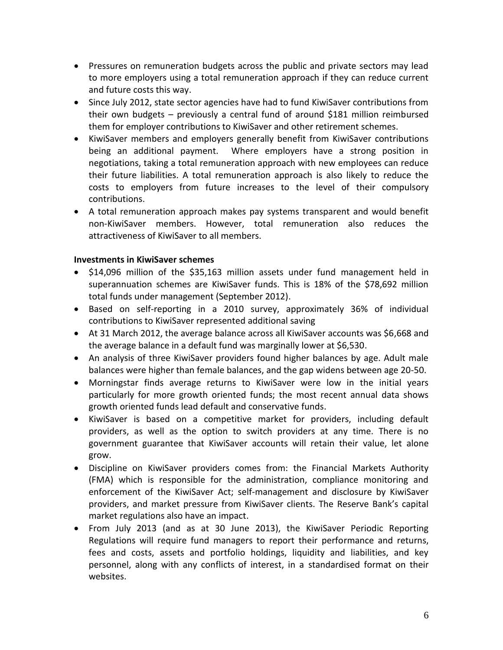- Pressures on remuneration budgets across the public and private sectors may lead to more employers using a total remuneration approach if they can reduce current and future costs this way.
- Since July 2012, state sector agencies have had to fund KiwiSaver contributions from their own budgets – previously a central fund of around \$181 million reimbursed them for employer contributions to KiwiSaver and other retirement schemes.
- KiwiSaver members and employers generally benefit from KiwiSaver contributions being an additional payment. Where employers have a strong position in negotiations, taking a total remuneration approach with new employees can reduce their future liabilities. A total remuneration approach is also likely to reduce the costs to employers from future increases to the level of their compulsory contributions.
- A total remuneration approach makes pay systems transparent and would benefit non-KiwiSaver members. However, total remuneration also reduces the attractiveness of KiwiSaver to all members.

## <span id="page-5-0"></span>**Investments in KiwiSaver schemes**

- \$14,096 million of the \$35,163 million assets under fund management held in superannuation schemes are KiwiSaver funds. This is 18% of the \$78,692 million total funds under management (September 2012).
- Based on self-reporting in a 2010 survey, approximately 36% of individual contributions to KiwiSaver represented additional saving
- At 31 March 2012, the average balance across all KiwiSaver accounts was \$6,668 and the average balance in a default fund was marginally lower at \$6,530.
- An analysis of three KiwiSaver providers found higher balances by age. Adult male balances were higher than female balances, and the gap widens between age 20-50.
- Morningstar finds average returns to KiwiSaver were low in the initial years particularly for more growth oriented funds; the most recent annual data shows growth oriented funds lead default and conservative funds.
- KiwiSaver is based on a competitive market for providers, including default providers, as well as the option to switch providers at any time. There is no government guarantee that KiwiSaver accounts will retain their value, let alone grow.
- Discipline on KiwiSaver providers comes from: the Financial Markets Authority (FMA) which is responsible for the administration, compliance monitoring and enforcement of the KiwiSaver Act; self-management and disclosure by KiwiSaver providers, and market pressure from KiwiSaver clients. The Reserve Bank's capital market regulations also have an impact.
- From July 2013 (and as at 30 June 2013), the KiwiSaver Periodic Reporting Regulations will require fund managers to report their performance and returns, fees and costs, assets and portfolio holdings, liquidity and liabilities, and key personnel, along with any conflicts of interest, in a standardised format on their websites.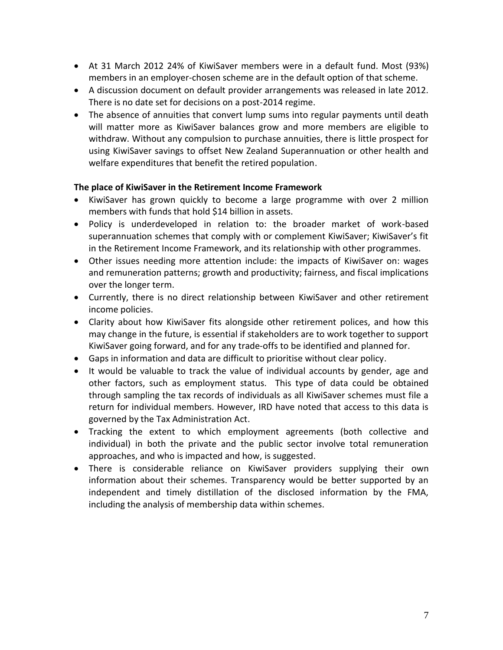- At 31 March 2012 24% of KiwiSaver members were in a default fund. Most (93%) members in an employer-chosen scheme are in the default option of that scheme.
- A discussion document on default provider arrangements was released in late 2012. There is no date set for decisions on a post-2014 regime.
- The absence of annuities that convert lump sums into regular payments until death will matter more as KiwiSaver balances grow and more members are eligible to withdraw. Without any compulsion to purchase annuities, there is little prospect for using KiwiSaver savings to offset New Zealand Superannuation or other health and welfare expenditures that benefit the retired population.

## <span id="page-6-0"></span>**The place of KiwiSaver in the Retirement Income Framework**

- KiwiSaver has grown quickly to become a large programme with over 2 million members with funds that hold \$14 billion in assets.
- Policy is underdeveloped in relation to: the broader market of work-based superannuation schemes that comply with or complement KiwiSaver; KiwiSaver's fit in the Retirement Income Framework, and its relationship with other programmes.
- Other issues needing more attention include: the impacts of KiwiSaver on: wages and remuneration patterns; growth and productivity; fairness, and fiscal implications over the longer term.
- Currently, there is no direct relationship between KiwiSaver and other retirement income policies.
- Clarity about how KiwiSaver fits alongside other retirement polices, and how this may change in the future, is essential if stakeholders are to work together to support KiwiSaver going forward, and for any trade-offs to be identified and planned for.
- Gaps in information and data are difficult to prioritise without clear policy.
- It would be valuable to track the value of individual accounts by gender, age and other factors, such as employment status. This type of data could be obtained through sampling the tax records of individuals as all KiwiSaver schemes must file a return for individual members. However, IRD have noted that access to this data is governed by the Tax Administration Act.
- Tracking the extent to which employment agreements (both collective and individual) in both the private and the public sector involve total remuneration approaches, and who is impacted and how, is suggested.
- There is considerable reliance on KiwiSaver providers supplying their own information about their schemes. Transparency would be better supported by an independent and timely distillation of the disclosed information by the FMA, including the analysis of membership data within schemes.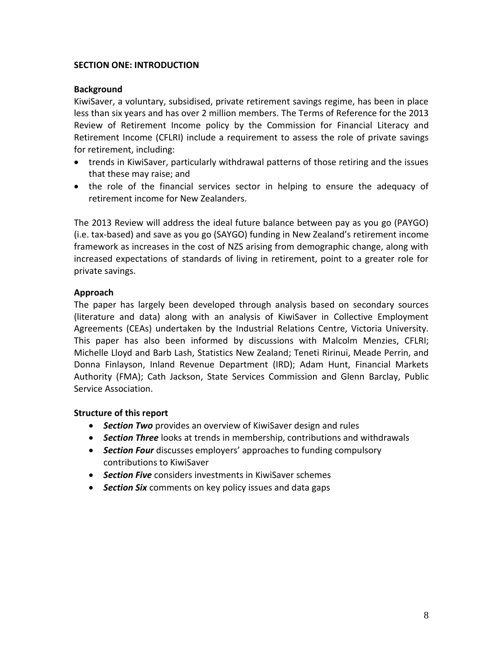## <span id="page-7-0"></span>**SECTION ONE: INTRODUCTION**

#### <span id="page-7-1"></span>**Background**

KiwiSaver, a voluntary, subsidised, private retirement savings regime, has been in place less than six years and has over 2 million members. The Terms of Reference for the 2013 Review of Retirement Income policy by the Commission for Financial Literacy and Retirement Income (CFLRI) include a requirement to assess the role of private savings for retirement, including:

- trends in KiwiSaver, particularly withdrawal patterns of those retiring and the issues that these may raise; and
- the role of the financial services sector in helping to ensure the adequacy of retirement income for New Zealanders.

The 2013 Review will address the ideal future balance between pay as you go (PAYGO) (i.e. tax-based) and save as you go (SAYGO) funding in New Zealand's retirement income framework as increases in the cost of NZS arising from demographic change, along with increased expectations of standards of living in retirement, point to a greater role for private savings.

## <span id="page-7-2"></span>**Approach**

The paper has largely been developed through analysis based on secondary sources (literature and data) along with an analysis of KiwiSaver in Collective Employment Agreements (CEAs) undertaken by the Industrial Relations Centre, Victoria University. This paper has also been informed by discussions with Malcolm Menzies, CFLRI; Michelle Lloyd and Barb Lash, Statistics New Zealand; Teneti Ririnui, Meade Perrin, and Donna Finlayson, Inland Revenue Department (IRD); Adam Hunt, Financial Markets Authority (FMA); Cath Jackson, State Services Commission and Glenn Barclay, Public Service Association.

## <span id="page-7-3"></span>**Structure of this report**

- *Section Two* provides an overview of KiwiSaver design and rules
- *Section Three* looks at trends in membership, contributions and withdrawals
- *Section Four* discusses employers' approaches to funding compulsory contributions to KiwiSaver
- *Section Five* considers investments in KiwiSaver schemes
- *Section Six* comments on key policy issues and data gaps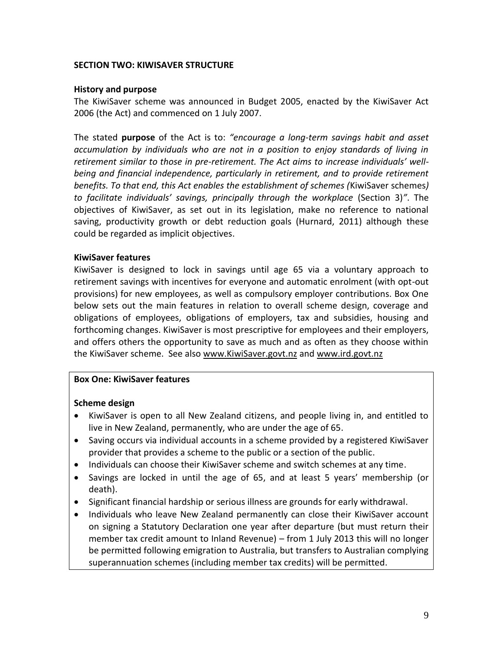#### <span id="page-8-0"></span>**SECTION TWO: KIWISAVER STRUCTURE**

#### <span id="page-8-1"></span>**History and purpose**

The KiwiSaver scheme was announced in Budget 2005, enacted by the KiwiSaver Act 2006 (the Act) and commenced on 1 July 2007.

The stated **purpose** of the Act is to: *"encourage a long-term savings habit and asset accumulation by individuals who are not in a position to enjoy standards of living in retirement similar to those in pre-retirement. The Act aims to increase individuals' wellbeing and financial independence, particularly in retirement, and to provide retirement benefits. To that end, this Act enables the establishment of schemes (*KiwiSaver schemes*) to facilitate individuals' savings, principally through the workplace* (Section 3)*"*. The objectives of KiwiSaver, as set out in its legislation, make no reference to national saving, productivity growth or debt reduction goals (Hurnard, 2011) although these could be regarded as implicit objectives.

#### <span id="page-8-2"></span>**KiwiSaver features**

KiwiSaver is designed to lock in savings until age 65 via a voluntary approach to retirement savings with incentives for everyone and automatic enrolment (with opt-out provisions) for new employees, as well as compulsory employer contributions. Box One below sets out the main features in relation to overall scheme design, coverage and obligations of employees, obligations of employers, tax and subsidies, housing and forthcoming changes. KiwiSaver is most prescriptive for employees and their employers, and offers others the opportunity to save as much and as often as they choose within the KiwiSaver scheme. See also [www.KiwiSaver.govt.nz](http://www.kiwisaver.govt.nz/) and [www.ird.govt.nz](http://www.ird.govt.nz/)

## **Box One: KiwiSaver features**

#### **Scheme design**

- KiwiSaver is open to all New Zealand citizens, and people living in, and entitled to live in New Zealand, permanently, who are under the age of 65.
- Saving occurs via individual accounts in a scheme provided by a registered KiwiSaver provider that provides a scheme to the public or a section of the public.
- Individuals can choose their KiwiSaver scheme and switch schemes at any time.
- Savings are locked in until the age of 65, and at least 5 years' membership (or death).
- Significant financial hardship or serious illness are grounds for early withdrawal.
- Individuals who leave New Zealand permanently can close their KiwiSaver account on signing a Statutory Declaration one year after departure (but must return their member tax credit amount to Inland Revenue) – from 1 July 2013 this will no longer be permitted following emigration to Australia, but transfers to Australian complying superannuation schemes (including member tax credits) will be permitted.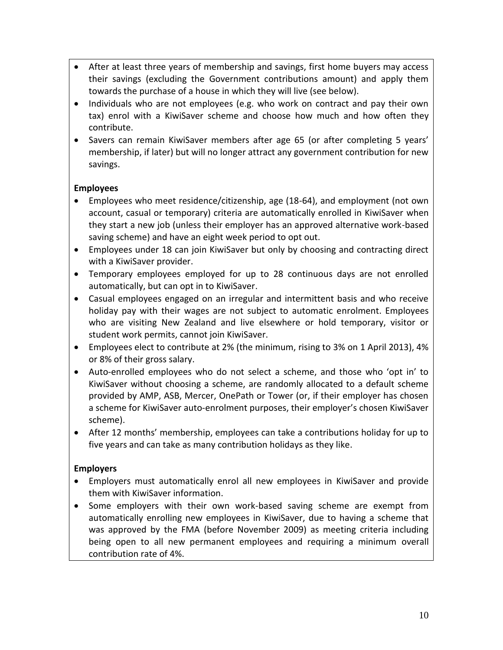- After at least three years of membership and savings, first home buyers may access their savings (excluding the Government contributions amount) and apply them towards the purchase of a house in which they will live (see below).
- Individuals who are not employees (e.g. who work on contract and pay their own tax) enrol with a KiwiSaver scheme and choose how much and how often they contribute.
- Savers can remain KiwiSaver members after age 65 (or after completing 5 years' membership, if later) but will no longer attract any government contribution for new savings.

## **Employees**

- Employees who meet residence/citizenship, age (18-64), and employment (not own account, casual or temporary) criteria are automatically enrolled in KiwiSaver when they start a new job (unless their employer has an approved alternative work-based saving scheme) and have an eight week period to opt out.
- Employees under 18 can join KiwiSaver but only by choosing and contracting direct with a KiwiSaver provider.
- Temporary employees employed for up to 28 continuous days are not enrolled automatically, but can opt in to KiwiSaver.
- Casual employees engaged on an irregular and intermittent basis and who receive holiday pay with their wages are not subject to automatic enrolment. Employees who are visiting New Zealand and live elsewhere or hold temporary, visitor or student work permits, cannot join KiwiSaver.
- Employees elect to contribute at 2% (the minimum, rising to 3% on 1 April 2013), 4% or 8% of their gross salary.
- Auto-enrolled employees who do not select a scheme, and those who 'opt in' to KiwiSaver without choosing a scheme, are randomly allocated to a default scheme provided by AMP, ASB, Mercer, OnePath or Tower (or, if their employer has chosen a scheme for KiwiSaver auto-enrolment purposes, their employer's chosen KiwiSaver scheme).
- After 12 months' membership, employees can take a contributions holiday for up to five years and can take as many contribution holidays as they like.

## **Employers**

- Employers must automatically enrol all new employees in KiwiSaver and provide them with KiwiSaver information.
- Some employers with their own work-based saving scheme are exempt from automatically enrolling new employees in KiwiSaver, due to having a scheme that was approved by the FMA (before November 2009) as meeting criteria including being open to all new permanent employees and requiring a minimum overall contribution rate of 4%.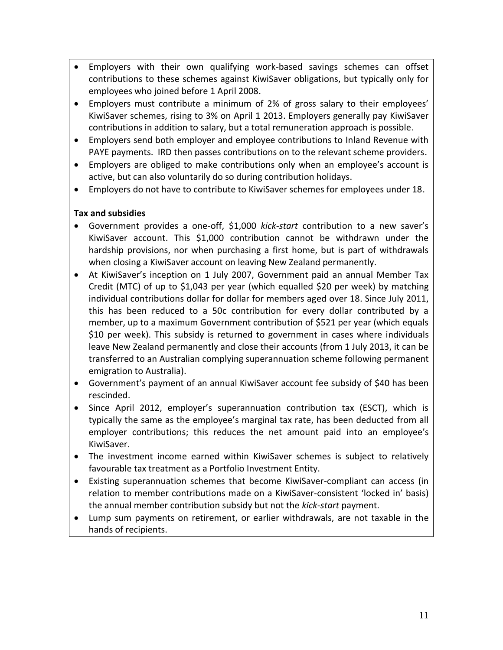- Employers with their own qualifying work-based savings schemes can offset contributions to these schemes against KiwiSaver obligations, but typically only for employees who joined before 1 April 2008.
- Employers must contribute a minimum of 2% of gross salary to their employees' KiwiSaver schemes, rising to 3% on April 1 2013. Employers generally pay KiwiSaver contributions in addition to salary, but a total remuneration approach is possible.
- Employers send both employer and employee contributions to Inland Revenue with PAYE payments. IRD then passes contributions on to the relevant scheme providers.
- Employers are obliged to make contributions only when an employee's account is active, but can also voluntarily do so during contribution holidays.
- Employers do not have to contribute to KiwiSaver schemes for employees under 18.

## **Tax and subsidies**

- Government provides a one-off, \$1,000 *kick-start* contribution to a new saver's KiwiSaver account. This \$1,000 contribution cannot be withdrawn under the hardship provisions, nor when purchasing a first home, but is part of withdrawals when closing a KiwiSaver account on leaving New Zealand permanently.
- At KiwiSaver's inception on 1 July 2007, Government paid an annual Member Tax Credit (MTC) of up to \$1,043 per year (which equalled \$20 per week) by matching individual contributions dollar for dollar for members aged over 18. Since July 2011, this has been reduced to a 50c contribution for every dollar contributed by a member, up to a maximum Government contribution of \$521 per year (which equals \$10 per week). This subsidy is returned to government in cases where individuals leave New Zealand permanently and close their accounts (from 1 July 2013, it can be transferred to an Australian complying superannuation scheme following permanent emigration to Australia).
- Government's payment of an annual KiwiSaver account fee subsidy of \$40 has been rescinded.
- Since April 2012, employer's superannuation contribution tax (ESCT), which is typically the same as the employee's marginal tax rate, has been deducted from all employer contributions; this reduces the net amount paid into an employee's KiwiSaver.
- The investment income earned within KiwiSaver schemes is subject to relatively favourable tax treatment as a Portfolio Investment Entity.
- Existing superannuation schemes that become KiwiSaver-compliant can access (in relation to member contributions made on a KiwiSaver-consistent 'locked in' basis) the annual member contribution subsidy but not the *kick-start* payment.
- Lump sum payments on retirement, or earlier withdrawals, are not taxable in the hands of recipients.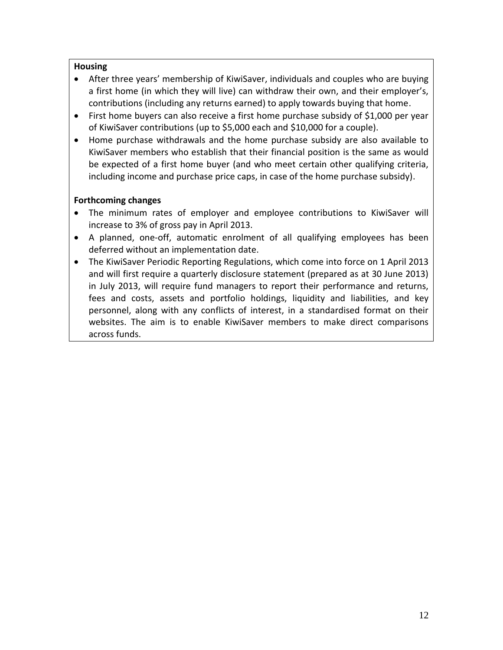## **Housing**

- After three years' membership of KiwiSaver, individuals and couples who are buying a first home (in which they will live) can withdraw their own, and their employer's, contributions (including any returns earned) to apply towards buying that home.
- First home buyers can also receive a first home purchase subsidy of \$1,000 per year of KiwiSaver contributions (up to \$5,000 each and \$10,000 for a couple).
- Home purchase withdrawals and the home purchase subsidy are also available to KiwiSaver members who establish that their financial position is the same as would be expected of a first home buyer (and who meet certain other qualifying criteria, including income and purchase price caps, in case of the home purchase subsidy).

## **Forthcoming changes**

- The minimum rates of employer and employee contributions to KiwiSaver will increase to 3% of gross pay in April 2013.
- A planned, one-off, automatic enrolment of all qualifying employees has been deferred without an implementation date.
- The KiwiSaver Periodic Reporting Regulations, which come into force on 1 April 2013 and will first require a quarterly disclosure statement (prepared as at 30 June 2013) in July 2013, will require fund managers to report their performance and returns, fees and costs, assets and portfolio holdings, liquidity and liabilities, and key personnel, along with any conflicts of interest, in a standardised format on their websites. The aim is to enable KiwiSaver members to make direct comparisons across funds.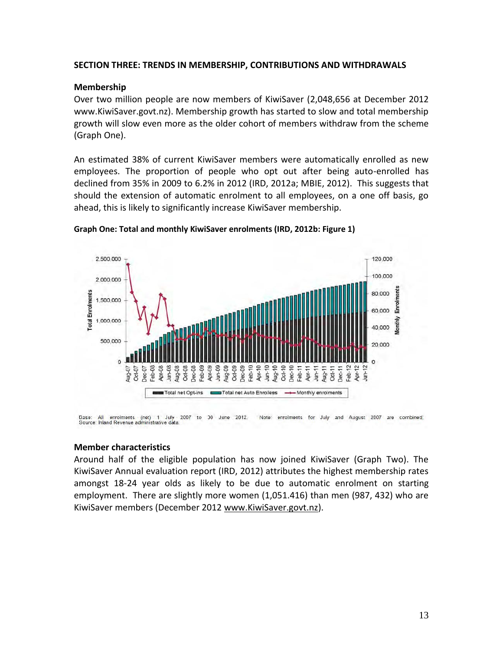#### <span id="page-12-0"></span>**SECTION THREE: TRENDS IN MEMBERSHIP, CONTRIBUTIONS AND WITHDRAWALS**

#### <span id="page-12-1"></span>**Membership**

Over two million people are now members of KiwiSaver (2,048,656 at December 2012 www.KiwiSaver.govt.nz). Membership growth has started to slow and total membership growth will slow even more as the older cohort of members withdraw from the scheme (Graph One).

An estimated 38% of current KiwiSaver members were automatically enrolled as new employees. The proportion of people who opt out after being auto-enrolled has declined from 35% in 2009 to 6.2% in 2012 (IRD, 2012a; MBIE, 2012). This suggests that should the extension of automatic enrolment to all employees, on a one off basis, go ahead, this is likely to significantly increase KiwiSaver membership.



#### **Graph One: Total and monthly KiwiSaver enrolments (IRD, 2012b: Figure 1)**

Dase: All enrolments (net) 1 July 2007 to 30 June<br>Source: Inland Revenue administrative data. 2012. Note: enrolments for July and August 2007 are combined

#### <span id="page-12-2"></span>**Member characteristics**

Around half of the eligible population has now joined KiwiSaver (Graph Two). The KiwiSaver Annual evaluation report (IRD, 2012) attributes the highest membership rates amongst 18-24 year olds as likely to be due to automatic enrolment on starting employment. There are slightly more women (1,051.416) than men (987, 432) who are KiwiSaver members (December 2012 [www.KiwiSaver.govt.nz\)](http://www.kiwisaver.govt.nz/).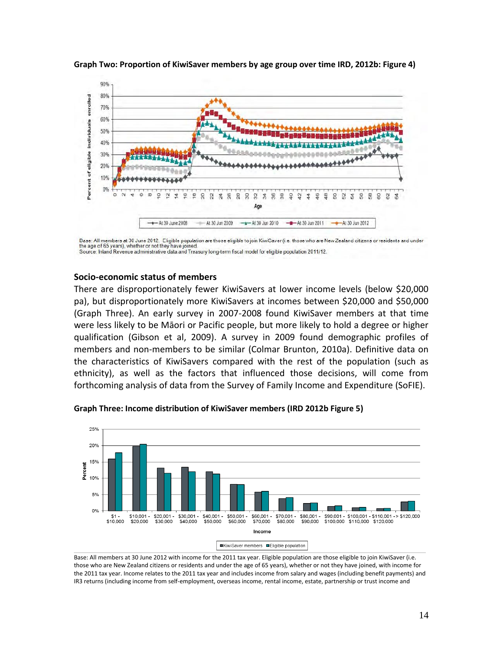

**Graph Two: Proportion of KiwiSaver members by age group over time IRD, 2012b: Figure 4)**

#### <span id="page-13-0"></span>**Socio-economic status of members**

There are disproportionately fewer KiwiSavers at lower income levels (below \$20,000 pa), but disproportionately more KiwiSavers at incomes between \$20,000 and \$50,000 (Graph Three). An early survey in 2007-2008 found KiwiSaver members at that time were less likely to be Māori or Pacific people, but more likely to hold a degree or higher qualification (Gibson et al, 2009). A survey in 2009 found demographic profiles of members and non-members to be similar (Colmar Brunton, 2010a). Definitive data on the characteristics of KiwiSavers compared with the rest of the population (such as ethnicity), as well as the factors that influenced those decisions, will come from forthcoming analysis of data from the Survey of Family Income and Expenditure (SoFIE).



**Graph Three: Income distribution of KiwiSaver members (IRD 2012b Figure 5)**

Base: All members at 30 June 2012 with income for the 2011 tax year. Eligible population are those eligible to join KiwiSaver (i.e. those who are New Zealand citizens or residents and under the age of 65 years), whether or not they have joined, with income for the 2011 tax year. Income relates to the 2011 tax year and includes income from salary and wages (including benefit payments) and IR3 returns (including income from self-employment, overseas income, rental income, estate, partnership or trust income and

Base: All members at 30 June 2012. Eligible population are those eligible to join KiwiSaver (i.e. those who are New Zealand citizens or residents and under the age of 65 years), whether or not they have joined. Source: Inland Revenue administrative data and Treasury long-term fiscal model for eligible population 2011/12.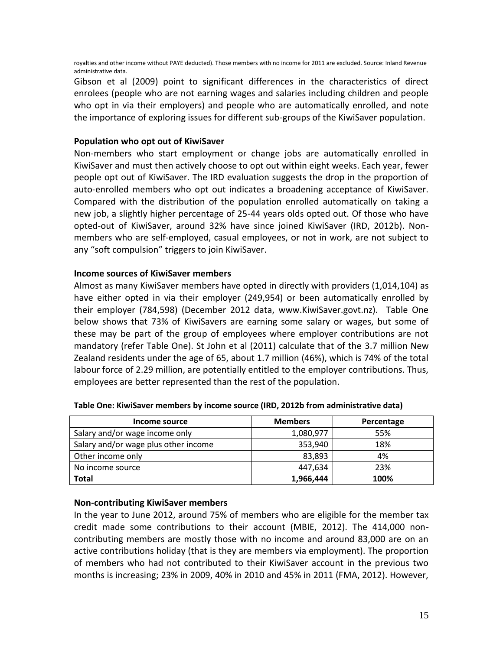royalties and other income without PAYE deducted). Those members with no income for 2011 are excluded. Source: Inland Revenue administrative data.

Gibson et al (2009) point to significant differences in the characteristics of direct enrolees (people who are not earning wages and salaries including children and people who opt in via their employers) and people who are automatically enrolled, and note the importance of exploring issues for different sub-groups of the KiwiSaver population.

## <span id="page-14-0"></span>**Population who opt out of KiwiSaver**

Non-members who start employment or change jobs are automatically enrolled in KiwiSaver and must then actively choose to opt out within eight weeks. Each year, fewer people opt out of KiwiSaver. The IRD evaluation suggests the drop in the proportion of auto-enrolled members who opt out indicates a broadening acceptance of KiwiSaver. Compared with the distribution of the population enrolled automatically on taking a new job, a slightly higher percentage of 25-44 years olds opted out. Of those who have opted-out of KiwiSaver, around 32% have since joined KiwiSaver (IRD, 2012b). Nonmembers who are self-employed, casual employees, or not in work, are not subject to any "soft compulsion" triggers to join KiwiSaver.

#### <span id="page-14-1"></span>**Income sources of KiwiSaver members**

Almost as many KiwiSaver members have opted in directly with providers (1,014,104) as have either opted in via their employer (249,954) or been automatically enrolled by their employer (784,598) (December 2012 data, www.KiwiSaver.govt.nz). Table One below shows that 73% of KiwiSavers are earning some salary or wages, but some of these may be part of the group of employees where employer contributions are not mandatory (refer Table One). St John et al (2011) calculate that of the 3.7 million New Zealand residents under the age of 65, about 1.7 million (46%), which is 74% of the total labour force of 2.29 million, are potentially entitled to the employer contributions. Thus, employees are better represented than the rest of the population.

| Income source                        | <b>Members</b> | Percentage |
|--------------------------------------|----------------|------------|
| Salary and/or wage income only       | 1,080,977      | 55%        |
| Salary and/or wage plus other income | 353,940        | 18%        |
| Other income only                    | 83,893         | 4%         |
| No income source                     | 447,634        | 23%        |
| <b>Total</b>                         | 1,966,444      | 100%       |

**Table One: KiwiSaver members by income source (IRD, 2012b from administrative data)**

## <span id="page-14-2"></span>**Non-contributing KiwiSaver members**

In the year to June 2012, around 75% of members who are eligible for the member tax credit made some contributions to their account (MBIE, 2012). The 414,000 noncontributing members are mostly those with no income and around 83,000 are on an active contributions holiday (that is they are members via employment). The proportion of members who had not contributed to their KiwiSaver account in the previous two months is increasing; 23% in 2009, 40% in 2010 and 45% in 2011 (FMA, 2012). However,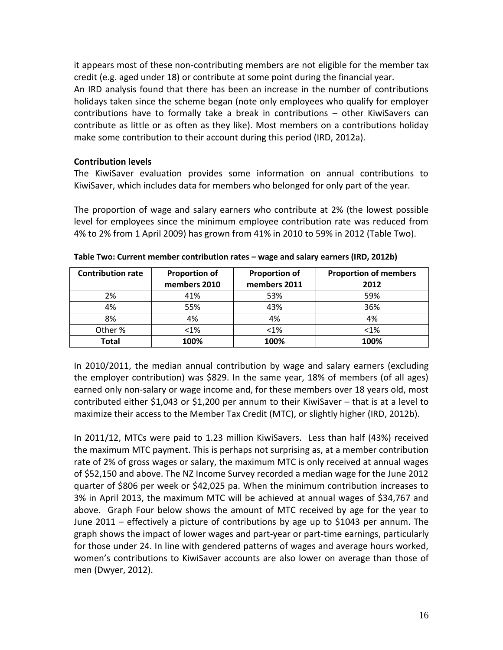it appears most of these non-contributing members are not eligible for the member tax credit (e.g. aged under 18) or contribute at some point during the financial year.

An IRD analysis found that there has been an increase in the number of contributions holidays taken since the scheme began (note only employees who qualify for employer contributions have to formally take a break in contributions – other KiwiSavers can contribute as little or as often as they like). Most members on a contributions holiday make some contribution to their account during this period (IRD, 2012a).

#### <span id="page-15-0"></span>**Contribution levels**

The KiwiSaver evaluation provides some information on annual contributions to KiwiSaver, which includes data for members who belonged for only part of the year.

The proportion of wage and salary earners who contribute at 2% (the lowest possible level for employees since the minimum employee contribution rate was reduced from 4% to 2% from 1 April 2009) has grown from 41% in 2010 to 59% in 2012 (Table Two).

| <b>Contribution rate</b> | <b>Proportion of</b> | <b>Proportion of</b> | <b>Proportion of members</b> |
|--------------------------|----------------------|----------------------|------------------------------|
|                          | members 2010         | members 2011         | 2012                         |
| 2%                       | 41%                  | 53%                  | 59%                          |
| 4%                       | 55%                  | 43%                  | 36%                          |
| 8%                       | 4%                   | 4%                   | 4%                           |
| Other %                  | $< 1\%$              | $< 1\%$              | $< 1\%$                      |
| <b>Total</b>             | 100%                 | 100%                 | 100%                         |

**Table Two: Current member contribution rates – wage and salary earners (IRD, 2012b)**

In 2010/2011, the median annual contribution by wage and salary earners (excluding the employer contribution) was \$829. In the same year, 18% of members (of all ages) earned only non-salary or wage income and, for these members over 18 years old, most contributed either \$1,043 or \$1,200 per annum to their KiwiSaver – that is at a level to maximize their access to the Member Tax Credit (MTC), or slightly higher (IRD, 2012b).

In 2011/12, MTCs were paid to 1.23 million KiwiSavers. Less than half (43%) received the maximum MTC payment. This is perhaps not surprising as, at a member contribution rate of 2% of gross wages or salary, the maximum MTC is only received at annual wages of \$52,150 and above. The NZ Income Survey recorded a median wage for the June 2012 quarter of \$806 per week or \$42,025 pa. When the minimum contribution increases to 3% in April 2013, the maximum MTC will be achieved at annual wages of \$34,767 and above. Graph Four below shows the amount of MTC received by age for the year to June 2011 – effectively a picture of contributions by age up to \$1043 per annum. The graph shows the impact of lower wages and part-year or part-time earnings, particularly for those under 24. In line with gendered patterns of wages and average hours worked, women's contributions to KiwiSaver accounts are also lower on average than those of men (Dwyer, 2012).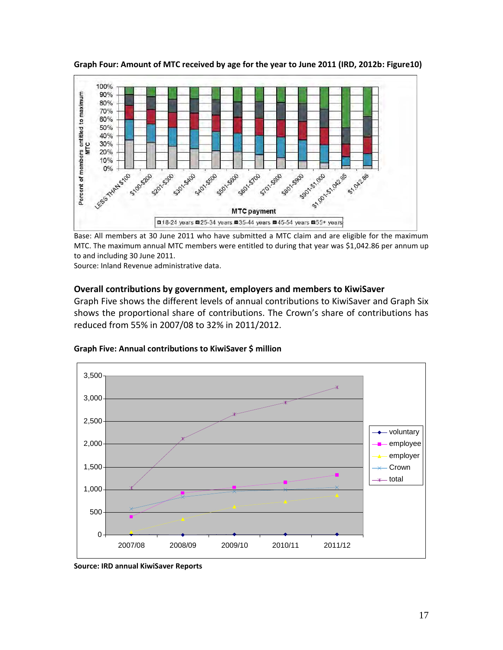

**Graph Four: Amount of MTC received by age for the year to June 2011 (IRD, 2012b: Figure10)**

Base: All members at 30 June 2011 who have submitted a MTC claim and are eligible for the maximum MTC. The maximum annual MTC members were entitled to during that year was \$1,042.86 per annum up to and including 30 June 2011.

Source: Inland Revenue administrative data.

#### <span id="page-16-0"></span>**Overall contributions by government, employers and members to KiwiSaver**

Graph Five shows the different levels of annual contributions to KiwiSaver and Graph Six shows the proportional share of contributions. The Crown's share of contributions has reduced from 55% in 2007/08 to 32% in 2011/2012.



**Graph Five: Annual contributions to KiwiSaver \$ million**

**Source: IRD annual KiwiSaver Reports**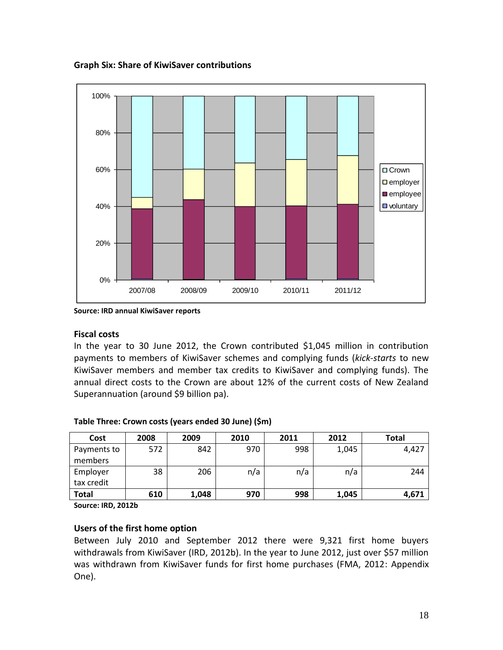**Graph Six: Share of KiwiSaver contributions**



**Source: IRD annual KiwiSaver reports**

#### <span id="page-17-0"></span>**Fiscal costs**

In the year to 30 June 2012, the Crown contributed \$1,045 million in contribution payments to members of KiwiSaver schemes and complying funds (*kick-starts* to new KiwiSaver members and member tax credits to KiwiSaver and complying funds). The annual direct costs to the Crown are about 12% of the current costs of New Zealand Superannuation (around \$9 billion pa).

| Cost         | 2008 | 2009  | 2010 | 2011 | 2012  | <b>Total</b> |
|--------------|------|-------|------|------|-------|--------------|
| Payments to  | 572  | 842   | 970  | 998  | 1,045 | 4,427        |
| members      |      |       |      |      |       |              |
| Employer     | 38   | 206   | n/a  | n/a  | n/a   | 244          |
| tax credit   |      |       |      |      |       |              |
| <b>Total</b> | 610  | 1,048 | 970  | 998  | 1,045 | 4,671        |

#### **Table Three: Crown costs (years ended 30 June) (\$m)**

**Source: IRD, 2012b**

## <span id="page-17-1"></span>**Users of the first home option**

Between July 2010 and September 2012 there were 9,321 first home buyers withdrawals from KiwiSaver (IRD, 2012b). In the year to June 2012, just over \$57 million was withdrawn from KiwiSaver funds for first home purchases (FMA, 2012: Appendix One).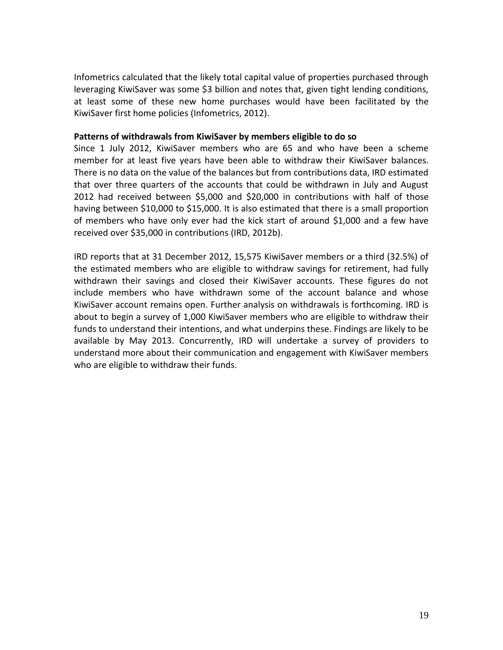Infometrics calculated that the likely total capital value of properties purchased through leveraging KiwiSaver was some \$3 billion and notes that, given tight lending conditions, at least some of these new home purchases would have been facilitated by the KiwiSaver first home policies (Infometrics, 2012).

#### <span id="page-18-0"></span>**Patterns of withdrawals from KiwiSaver by members eligible to do so**

Since 1 July 2012, KiwiSaver members who are 65 and who have been a scheme member for at least five years have been able to withdraw their KiwiSaver balances. There is no data on the value of the balances but from contributions data, IRD estimated that over three quarters of the accounts that could be withdrawn in July and August 2012 had received between \$5,000 and \$20,000 in contributions with half of those having between \$10,000 to \$15,000. It is also estimated that there is a small proportion of members who have only ever had the kick start of around \$1,000 and a few have received over \$35,000 in contributions (IRD, 2012b).

IRD reports that at 31 December 2012, 15,575 KiwiSaver members or a third (32.5%) of the estimated members who are eligible to withdraw savings for retirement, had fully withdrawn their savings and closed their KiwiSaver accounts. These figures do not include members who have withdrawn some of the account balance and whose KiwiSaver account remains open. Further analysis on withdrawals is forthcoming. IRD is about to begin a survey of 1,000 KiwiSaver members who are eligible to withdraw their funds to understand their intentions, and what underpins these. Findings are likely to be available by May 2013. Concurrently, IRD will undertake a survey of providers to understand more about their communication and engagement with KiwiSaver members who are eligible to withdraw their funds.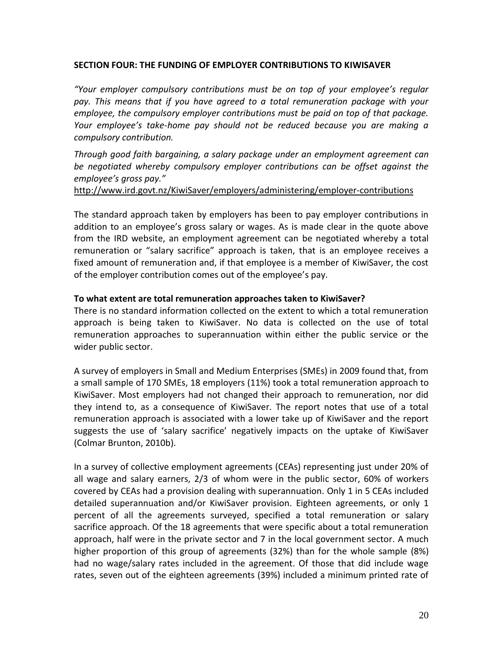#### <span id="page-19-0"></span>**SECTION FOUR: THE FUNDING OF EMPLOYER CONTRIBUTIONS TO KIWISAVER**

*"Your employer compulsory contributions must be on top of your employee's regular pay. This means that if you have agreed to a total remuneration package with your employee, the compulsory employer contributions must be paid on top of that package. Your employee's take-home pay should not be reduced because you are making a compulsory contribution.*

*Through good faith bargaining, a salary package under an employment agreement can be negotiated whereby compulsory employer contributions can be offset against the employee's gross pay."*

[http://www.ird.govt.nz/KiwiSaver/employers/administering/employer-contributions](http://www.ird.govt.nz/kiwisaver/employers/administering/employer-contributions)

The standard approach taken by employers has been to pay employer contributions in addition to an employee's gross salary or wages. As is made clear in the quote above from the IRD website, an employment agreement can be negotiated whereby a total remuneration or "salary sacrifice" approach is taken, that is an employee receives a fixed amount of remuneration and, if that employee is a member of KiwiSaver, the cost of the employer contribution comes out of the employee's pay.

#### <span id="page-19-1"></span>**To what extent are total remuneration approaches taken to KiwiSaver?**

There is no standard information collected on the extent to which a total remuneration approach is being taken to KiwiSaver. No data is collected on the use of total remuneration approaches to superannuation within either the public service or the wider public sector.

A survey of employers in Small and Medium Enterprises (SMEs) in 2009 found that, from a small sample of 170 SMEs, 18 employers (11%) took a total remuneration approach to KiwiSaver. Most employers had not changed their approach to remuneration, nor did they intend to, as a consequence of KiwiSaver. The report notes that use of a total remuneration approach is associated with a lower take up of KiwiSaver and the report suggests the use of 'salary sacrifice' negatively impacts on the uptake of KiwiSaver (Colmar Brunton, 2010b).

In a survey of collective employment agreements (CEAs) representing just under 20% of all wage and salary earners, 2/3 of whom were in the public sector, 60% of workers covered by CEAs had a provision dealing with superannuation. Only 1 in 5 CEAs included detailed superannuation and/or KiwiSaver provision. Eighteen agreements, or only 1 percent of all the agreements surveyed, specified a total remuneration or salary sacrifice approach. Of the 18 agreements that were specific about a total remuneration approach, half were in the private sector and 7 in the local government sector. A much higher proportion of this group of agreements (32%) than for the whole sample (8%) had no wage/salary rates included in the agreement. Of those that did include wage rates, seven out of the eighteen agreements (39%) included a minimum printed rate of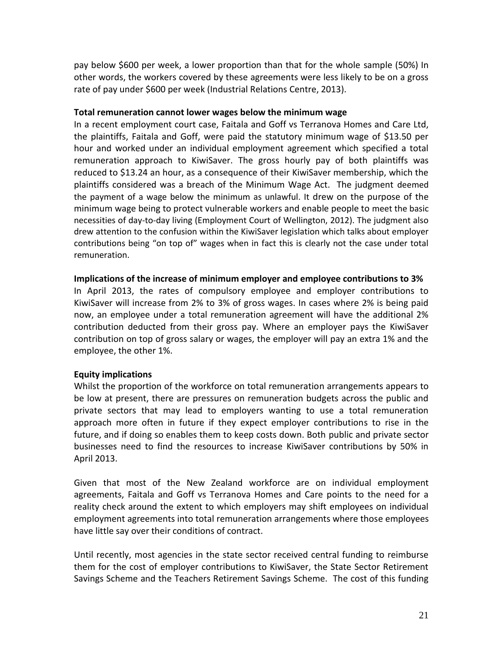pay below \$600 per week, a lower proportion than that for the whole sample (50%) In other words, the workers covered by these agreements were less likely to be on a gross rate of pay under \$600 per week (Industrial Relations Centre, 2013).

#### <span id="page-20-0"></span>**Total remuneration cannot lower wages below the minimum wage**

In a recent employment court case, Faitala and Goff vs Terranova Homes and Care Ltd, the plaintiffs, Faitala and Goff, were paid the statutory minimum wage of \$13.50 per hour and worked under an individual employment agreement which specified a total remuneration approach to KiwiSaver. The gross hourly pay of both plaintiffs was reduced to \$13.24 an hour, as a consequence of their KiwiSaver membership, which the plaintiffs considered was a breach of the Minimum Wage Act. The judgment deemed the payment of a wage below the minimum as unlawful. It drew on the purpose of the minimum wage being to protect vulnerable workers and enable people to meet the basic necessities of day-to-day living (Employment Court of Wellington, 2012). The judgment also drew attention to the confusion within the KiwiSaver legislation which talks about employer contributions being "on top of" wages when in fact this is clearly not the case under total remuneration.

#### <span id="page-20-1"></span>**Implications of the increase of minimum employer and employee contributions to 3%**

In April 2013, the rates of compulsory employee and employer contributions to KiwiSaver will increase from 2% to 3% of gross wages. In cases where 2% is being paid now, an employee under a total remuneration agreement will have the additional 2% contribution deducted from their gross pay. Where an employer pays the KiwiSaver contribution on top of gross salary or wages, the employer will pay an extra 1% and the employee, the other 1%.

#### <span id="page-20-2"></span>**Equity implications**

Whilst the proportion of the workforce on total remuneration arrangements appears to be low at present, there are pressures on remuneration budgets across the public and private sectors that may lead to employers wanting to use a total remuneration approach more often in future if they expect employer contributions to rise in the future, and if doing so enables them to keep costs down. Both public and private sector businesses need to find the resources to increase KiwiSaver contributions by 50% in April 2013.

Given that most of the New Zealand workforce are on individual employment agreements, Faitala and Goff vs Terranova Homes and Care points to the need for a reality check around the extent to which employers may shift employees on individual employment agreements into total remuneration arrangements where those employees have little say over their conditions of contract.

Until recently, most agencies in the state sector received central funding to reimburse them for the cost of employer contributions to KiwiSaver, the State Sector Retirement Savings Scheme and the Teachers Retirement Savings Scheme. The cost of this funding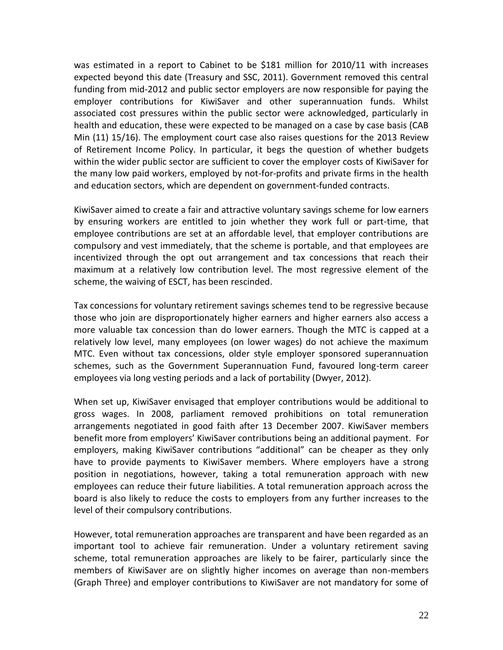was estimated in a report to Cabinet to be \$181 million for 2010/11 with increases expected beyond this date (Treasury and SSC, 2011). Government removed this central funding from mid-2012 and public sector employers are now responsible for paying the employer contributions for KiwiSaver and other superannuation funds. Whilst associated cost pressures within the public sector were acknowledged, particularly in health and education, these were expected to be managed on a case by case basis (CAB Min (11) 15/16). The employment court case also raises questions for the 2013 Review of Retirement Income Policy. In particular, it begs the question of whether budgets within the wider public sector are sufficient to cover the employer costs of KiwiSaver for the many low paid workers, employed by not-for-profits and private firms in the health and education sectors, which are dependent on government-funded contracts.

KiwiSaver aimed to create a fair and attractive voluntary savings scheme for low earners by ensuring workers are entitled to join whether they work full or part-time, that employee contributions are set at an affordable level, that employer contributions are compulsory and vest immediately, that the scheme is portable, and that employees are incentivized through the opt out arrangement and tax concessions that reach their maximum at a relatively low contribution level. The most regressive element of the scheme, the waiving of ESCT, has been rescinded.

Tax concessions for voluntary retirement savings schemes tend to be regressive because those who join are disproportionately higher earners and higher earners also access a more valuable tax concession than do lower earners. Though the MTC is capped at a relatively low level, many employees (on lower wages) do not achieve the maximum MTC. Even without tax concessions, older style employer sponsored superannuation schemes, such as the Government Superannuation Fund, favoured long-term career employees via long vesting periods and a lack of portability (Dwyer, 2012).

When set up, KiwiSaver envisaged that employer contributions would be additional to gross wages. In 2008, parliament removed prohibitions on total remuneration arrangements negotiated in good faith after 13 December 2007. KiwiSaver members benefit more from employers' KiwiSaver contributions being an additional payment. For employers, making KiwiSaver contributions "additional" can be cheaper as they only have to provide payments to KiwiSaver members. Where employers have a strong position in negotiations, however, taking a total remuneration approach with new employees can reduce their future liabilities. A total remuneration approach across the board is also likely to reduce the costs to employers from any further increases to the level of their compulsory contributions.

However, total remuneration approaches are transparent and have been regarded as an important tool to achieve fair remuneration. Under a voluntary retirement saving scheme, total remuneration approaches are likely to be fairer, particularly since the members of KiwiSaver are on slightly higher incomes on average than non-members (Graph Three) and employer contributions to KiwiSaver are not mandatory for some of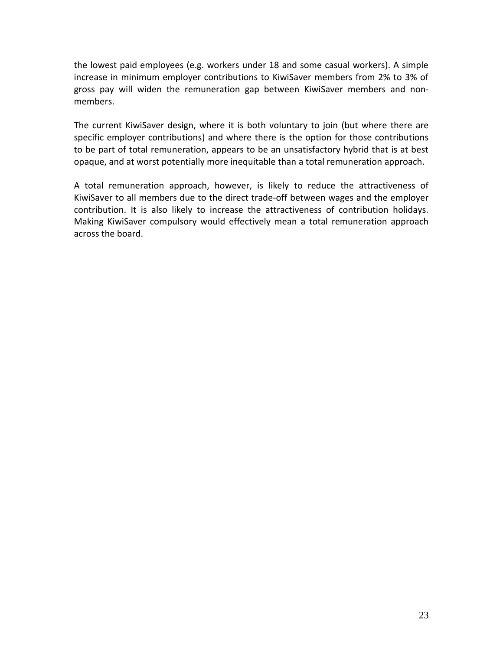the lowest paid employees (e.g. workers under 18 and some casual workers). A simple increase in minimum employer contributions to KiwiSaver members from 2% to 3% of gross pay will widen the remuneration gap between KiwiSaver members and nonmembers.

The current KiwiSaver design, where it is both voluntary to join (but where there are specific employer contributions) and where there is the option for those contributions to be part of total remuneration, appears to be an unsatisfactory hybrid that is at best opaque, and at worst potentially more inequitable than a total remuneration approach.

A total remuneration approach, however, is likely to reduce the attractiveness of KiwiSaver to all members due to the direct trade-off between wages and the employer contribution. It is also likely to increase the attractiveness of contribution holidays. Making KiwiSaver compulsory would effectively mean a total remuneration approach across the board.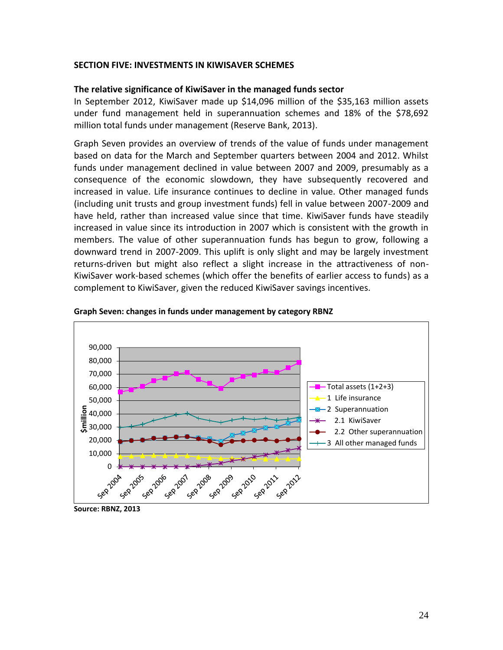#### <span id="page-23-0"></span>**SECTION FIVE: INVESTMENTS IN KIWISAVER SCHEMES**

#### <span id="page-23-1"></span>**The relative significance of KiwiSaver in the managed funds sector**

In September 2012, KiwiSaver made up \$14,096 million of the \$35,163 million assets under fund management held in superannuation schemes and 18% of the \$78,692 million total funds under management (Reserve Bank, 2013).

Graph Seven provides an overview of trends of the value of funds under management based on data for the March and September quarters between 2004 and 2012. Whilst funds under management declined in value between 2007 and 2009, presumably as a consequence of the economic slowdown, they have subsequently recovered and increased in value. Life insurance continues to decline in value. Other managed funds (including unit trusts and group investment funds) fell in value between 2007-2009 and have held, rather than increased value since that time. KiwiSaver funds have steadily increased in value since its introduction in 2007 which is consistent with the growth in members. The value of other superannuation funds has begun to grow, following a downward trend in 2007-2009. This uplift is only slight and may be largely investment returns-driven but might also reflect a slight increase in the attractiveness of non-KiwiSaver work-based schemes (which offer the benefits of earlier access to funds) as a complement to KiwiSaver, given the reduced KiwiSaver savings incentives.



**Graph Seven: changes in funds under management by category RBNZ**

**Source: RBNZ, 2013**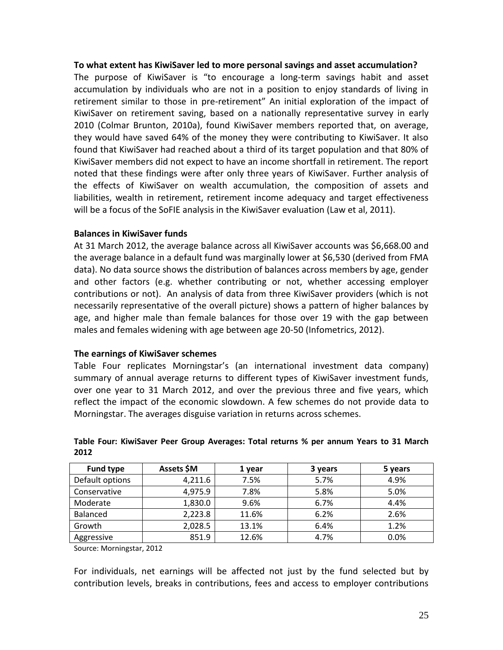#### <span id="page-24-0"></span>**To what extent has KiwiSaver led to more personal savings and asset accumulation?**

The purpose of KiwiSaver is "to encourage a long-term savings habit and asset accumulation by individuals who are not in a position to enjoy standards of living in retirement similar to those in pre-retirement" An initial exploration of the impact of KiwiSaver on retirement saving, based on a nationally representative survey in early 2010 (Colmar Brunton, 2010a), found KiwiSaver members reported that, on average, they would have saved 64% of the money they were contributing to KiwiSaver. It also found that KiwiSaver had reached about a third of its target population and that 80% of KiwiSaver members did not expect to have an income shortfall in retirement. The report noted that these findings were after only three years of KiwiSaver. Further analysis of the effects of KiwiSaver on wealth accumulation, the composition of assets and liabilities, wealth in retirement, retirement income adequacy and target effectiveness will be a focus of the SoFIE analysis in the KiwiSaver evaluation (Law et al, 2011).

#### <span id="page-24-1"></span>**Balances in KiwiSaver funds**

At 31 March 2012, the average balance across all KiwiSaver accounts was \$6,668.00 and the average balance in a default fund was marginally lower at \$6,530 (derived from FMA data). No data source shows the distribution of balances across members by age, gender and other factors (e.g. whether contributing or not, whether accessing employer contributions or not). An analysis of data from three KiwiSaver providers (which is not necessarily representative of the overall picture) shows a pattern of higher balances by age, and higher male than female balances for those over 19 with the gap between males and females widening with age between age 20-50 (Infometrics, 2012).

#### <span id="page-24-2"></span>**The earnings of KiwiSaver schemes**

Table Four replicates Morningstar's (an international investment data company) summary of annual average returns to different types of KiwiSaver investment funds, over one year to 31 March 2012, and over the previous three and five years, which reflect the impact of the economic slowdown. A few schemes do not provide data to Morningstar. The averages disguise variation in returns across schemes.

| <b>Fund type</b> | Assets \$M | 1 year | 3 years | 5 years |
|------------------|------------|--------|---------|---------|
| Default options  | 4,211.6    | 7.5%   | 5.7%    | 4.9%    |
| Conservative     | 4,975.9    | 7.8%   | 5.8%    | 5.0%    |
| Moderate         | 1,830.0    | 9.6%   | 6.7%    | 4.4%    |
| Balanced         | 2,223.8    | 11.6%  | 6.2%    | 2.6%    |
| Growth           | 2,028.5    | 13.1%  | 6.4%    | 1.2%    |
| Aggressive       | 851.9      | 12.6%  | 4.7%    | 0.0%    |

#### **Table Four: KiwiSaver Peer Group Averages: Total returns % per annum Years to 31 March 2012**

Source: Morningstar, 2012

For individuals, net earnings will be affected not just by the fund selected but by contribution levels, breaks in contributions, fees and access to employer contributions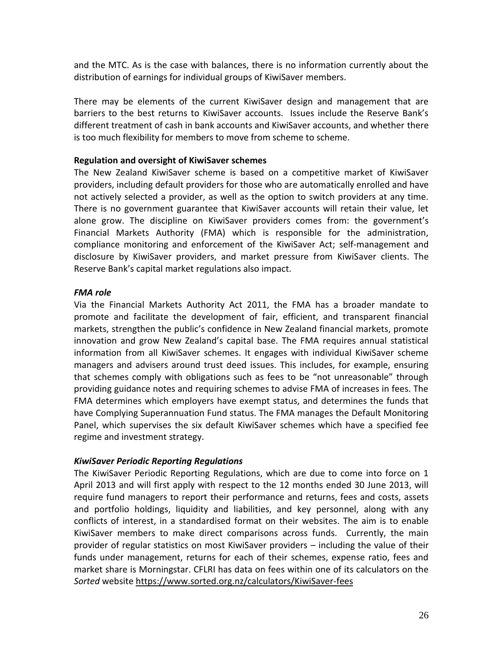and the MTC. As is the case with balances, there is no information currently about the distribution of earnings for individual groups of KiwiSaver members.

There may be elements of the current KiwiSaver design and management that are barriers to the best returns to KiwiSaver accounts. Issues include the Reserve Bank's different treatment of cash in bank accounts and KiwiSaver accounts, and whether there is too much flexibility for members to move from scheme to scheme.

#### <span id="page-25-0"></span>**Regulation and oversight of KiwiSaver schemes**

The New Zealand KiwiSaver scheme is based on a competitive market of KiwiSaver providers, including default providers for those who are automatically enrolled and have not actively selected a provider, as well as the option to switch providers at any time. There is no government guarantee that KiwiSaver accounts will retain their value, let alone grow. The discipline on KiwiSaver providers comes from: the government's Financial Markets Authority (FMA) which is responsible for the administration, compliance monitoring and enforcement of the KiwiSaver Act; self-management and disclosure by KiwiSaver providers, and market pressure from KiwiSaver clients. The Reserve Bank's capital market regulations also impact.

#### <span id="page-25-1"></span>*FMA role*

Via the Financial Markets Authority Act 2011, the FMA has a broader mandate to promote and facilitate the development of fair, efficient, and transparent financial markets, strengthen the public's confidence in New Zealand financial markets, promote innovation and grow New Zealand's capital base. The FMA requires annual statistical information from all KiwiSaver schemes. It engages with individual KiwiSaver scheme managers and advisers around trust deed issues. This includes, for example, ensuring that schemes comply with obligations such as fees to be "not unreasonable" through providing guidance notes and requiring schemes to advise FMA of increases in fees. The FMA determines which employers have exempt status, and determines the funds that have Complying Superannuation Fund status. The FMA manages the Default Monitoring Panel, which supervises the six default KiwiSaver schemes which have a specified fee regime and investment strategy.

#### <span id="page-25-2"></span>*KiwiSaver Periodic Reporting Regulations*

The KiwiSaver Periodic Reporting Regulations, which are due to come into force on 1 April 2013 and will first apply with respect to the 12 months ended 30 June 2013, will require fund managers to report their performance and returns, fees and costs, assets and portfolio holdings, liquidity and liabilities, and key personnel, along with any conflicts of interest, in a standardised format on their websites. The aim is to enable KiwiSaver members to make direct comparisons across funds. Currently, the main provider of regular statistics on most KiwiSaver providers – including the value of their funds under management, returns for each of their schemes, expense ratio, fees and market share is Morningstar. CFLRI has data on fees within one of its calculators on the *Sorted* website [https://www.sorted.org.nz/calculators/KiwiSaver-fees](https://www.sorted.org.nz/calculators/kiwisaver-fees)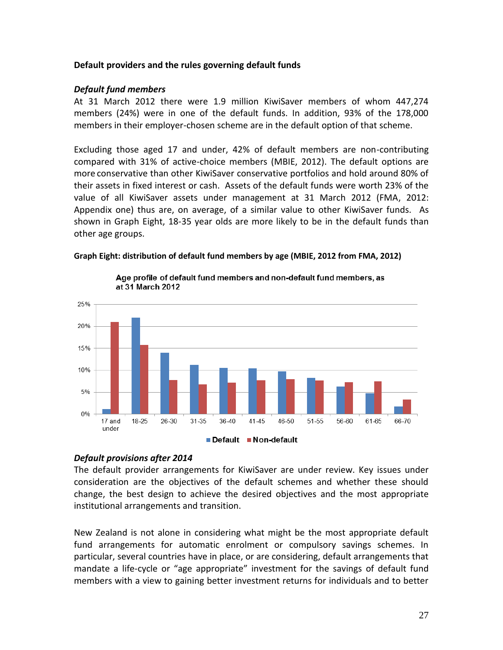#### <span id="page-26-0"></span>**Default providers and the rules governing default funds**

#### <span id="page-26-1"></span>*Default fund members*

At 31 March 2012 there were 1.9 million KiwiSaver members of whom 447,274 members (24%) were in one of the default funds. In addition, 93% of the 178,000 members in their employer-chosen scheme are in the default option of that scheme.

Excluding those aged 17 and under, 42% of default members are non-contributing compared with 31% of active-choice members (MBIE, 2012). The default options are more conservative than other KiwiSaver conservative portfolios and hold around 80% of their assets in fixed interest or cash. Assets of the default funds were worth 23% of the value of all KiwiSaver assets under management at 31 March 2012 (FMA, 2012: Appendix one) thus are, on average, of a similar value to other KiwiSaver funds. As shown in Graph Eight, 18-35 year olds are more likely to be in the default funds than other age groups.

#### **Graph Eight: distribution of default fund members by age (MBIE, 2012 from FMA, 2012)**



Age profile of default fund members and non-default fund members, as at 31 March 2012

## <span id="page-26-2"></span>*Default provisions after 2014*

The default provider arrangements for KiwiSaver are under review. Key issues under consideration are the objectives of the default schemes and whether these should change, the best design to achieve the desired objectives and the most appropriate institutional arrangements and transition.

New Zealand is not alone in considering what might be the most appropriate default fund arrangements for automatic enrolment or compulsory savings schemes. In particular, several countries have in place, or are considering, default arrangements that mandate a life-cycle or "age appropriate" investment for the savings of default fund members with a view to gaining better investment returns for individuals and to better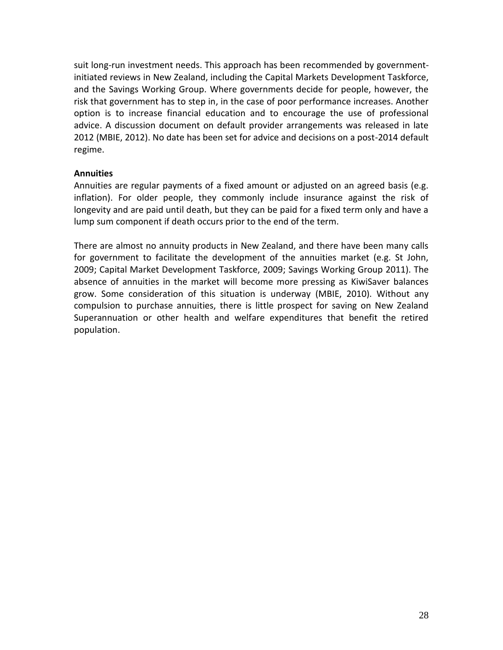suit long-run investment needs. This approach has been recommended by governmentinitiated reviews in New Zealand, including the Capital Markets Development Taskforce, and the Savings Working Group. Where governments decide for people, however, the risk that government has to step in, in the case of poor performance increases. Another option is to increase financial education and to encourage the use of professional advice. A discussion document on default provider arrangements was released in late 2012 (MBIE, 2012). No date has been set for advice and decisions on a post-2014 default regime.

## <span id="page-27-0"></span>**Annuities**

Annuities are regular payments of a fixed amount or adjusted on an agreed basis (e.g. inflation). For older people, they commonly include insurance against the risk of longevity and are paid until death, but they can be paid for a fixed term only and have a lump sum component if death occurs prior to the end of the term.

There are almost no annuity products in New Zealand, and there have been many calls for government to facilitate the development of the annuities market (e.g. St John, 2009; Capital Market Development Taskforce, 2009; Savings Working Group 2011). The absence of annuities in the market will become more pressing as KiwiSaver balances grow. Some consideration of this situation is underway (MBIE, 2010). Without any compulsion to purchase annuities, there is little prospect for saving on New Zealand Superannuation or other health and welfare expenditures that benefit the retired population.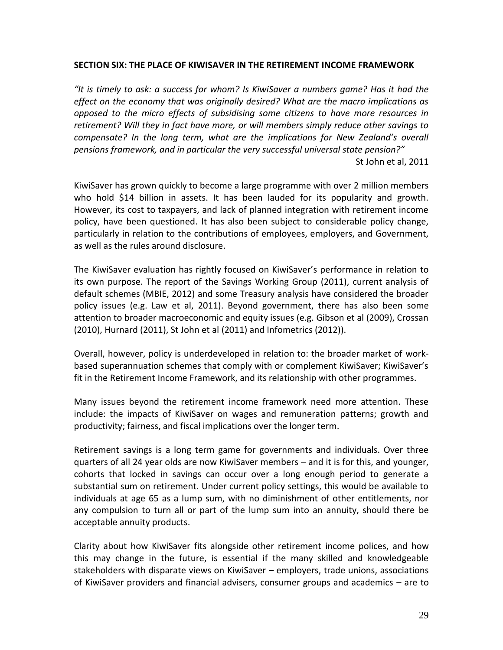#### <span id="page-28-0"></span>**SECTION SIX: THE PLACE OF KIWISAVER IN THE RETIREMENT INCOME FRAMEWORK**

*"It is timely to ask: a success for whom? Is KiwiSaver a numbers game? Has it had the effect on the economy that was originally desired? What are the macro implications as opposed to the micro effects of subsidising some citizens to have more resources in retirement? Will they in fact have more, or will members simply reduce other savings to compensate? In the long term, what are the implications for New Zealand's overall pensions framework, and in particular the very successful universal state pension?"* St John et al, 2011

KiwiSaver has grown quickly to become a large programme with over 2 million members who hold \$14 billion in assets. It has been lauded for its popularity and growth. However, its cost to taxpayers, and lack of planned integration with retirement income policy, have been questioned. It has also been subject to considerable policy change, particularly in relation to the contributions of employees, employers, and Government, as well as the rules around disclosure.

The KiwiSaver evaluation has rightly focused on KiwiSaver's performance in relation to its own purpose. The report of the Savings Working Group (2011), current analysis of default schemes (MBIE, 2012) and some Treasury analysis have considered the broader policy issues (e.g. Law et al, 2011). Beyond government, there has also been some attention to broader macroeconomic and equity issues (e.g. Gibson et al (2009), Crossan (2010), Hurnard (2011), St John et al (2011) and Infometrics (2012)).

Overall, however, policy is underdeveloped in relation to: the broader market of workbased superannuation schemes that comply with or complement KiwiSaver; KiwiSaver's fit in the Retirement Income Framework, and its relationship with other programmes.

Many issues beyond the retirement income framework need more attention. These include: the impacts of KiwiSaver on wages and remuneration patterns; growth and productivity; fairness, and fiscal implications over the longer term.

Retirement savings is a long term game for governments and individuals. Over three quarters of all 24 year olds are now KiwiSaver members – and it is for this, and younger, cohorts that locked in savings can occur over a long enough period to generate a substantial sum on retirement. Under current policy settings, this would be available to individuals at age 65 as a lump sum, with no diminishment of other entitlements, nor any compulsion to turn all or part of the lump sum into an annuity, should there be acceptable annuity products.

Clarity about how KiwiSaver fits alongside other retirement income polices, and how this may change in the future, is essential if the many skilled and knowledgeable stakeholders with disparate views on KiwiSaver – employers, trade unions, associations of KiwiSaver providers and financial advisers, consumer groups and academics – are to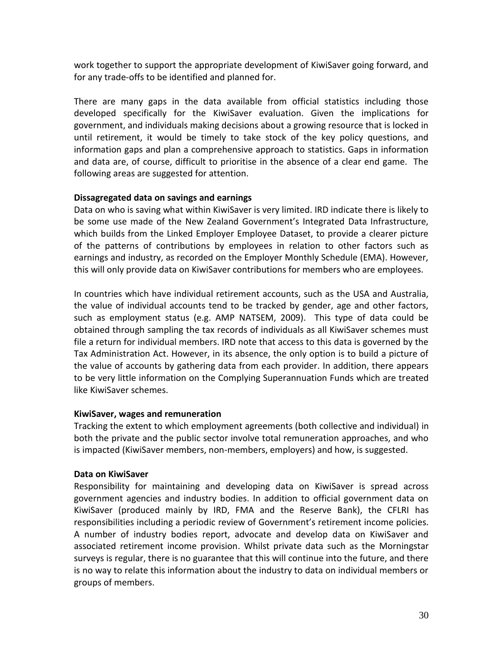work together to support the appropriate development of KiwiSaver going forward, and for any trade-offs to be identified and planned for.

There are many gaps in the data available from official statistics including those developed specifically for the KiwiSaver evaluation. Given the implications for government, and individuals making decisions about a growing resource that is locked in until retirement, it would be timely to take stock of the key policy questions, and information gaps and plan a comprehensive approach to statistics. Gaps in information and data are, of course, difficult to prioritise in the absence of a clear end game. The following areas are suggested for attention.

## <span id="page-29-0"></span>**Dissagregated data on savings and earnings**

Data on who is saving what within KiwiSaver is very limited. IRD indicate there is likely to be some use made of the New Zealand Government's Integrated Data Infrastructure, which builds from the Linked Employer Employee Dataset, to provide a clearer picture of the patterns of contributions by employees in relation to other factors such as earnings and industry, as recorded on the Employer Monthly Schedule (EMA). However, this will only provide data on KiwiSaver contributions for members who are employees.

In countries which have individual retirement accounts, such as the USA and Australia, the value of individual accounts tend to be tracked by gender, age and other factors, such as employment status (e.g. AMP NATSEM, 2009). This type of data could be obtained through sampling the tax records of individuals as all KiwiSaver schemes must file a return for individual members. IRD note that access to this data is governed by the Tax Administration Act. However, in its absence, the only option is to build a picture of the value of accounts by gathering data from each provider. In addition, there appears to be very little information on the Complying Superannuation Funds which are treated like KiwiSaver schemes.

## <span id="page-29-1"></span>**KiwiSaver, wages and remuneration**

Tracking the extent to which employment agreements (both collective and individual) in both the private and the public sector involve total remuneration approaches, and who is impacted (KiwiSaver members, non-members, employers) and how, is suggested.

## <span id="page-29-2"></span>**Data on KiwiSaver**

Responsibility for maintaining and developing data on KiwiSaver is spread across government agencies and industry bodies. In addition to official government data on KiwiSaver (produced mainly by IRD, FMA and the Reserve Bank), the CFLRI has responsibilities including a periodic review of Government's retirement income policies. A number of industry bodies report, advocate and develop data on KiwiSaver and associated retirement income provision. Whilst private data such as the Morningstar surveys is regular, there is no guarantee that this will continue into the future, and there is no way to relate this information about the industry to data on individual members or groups of members.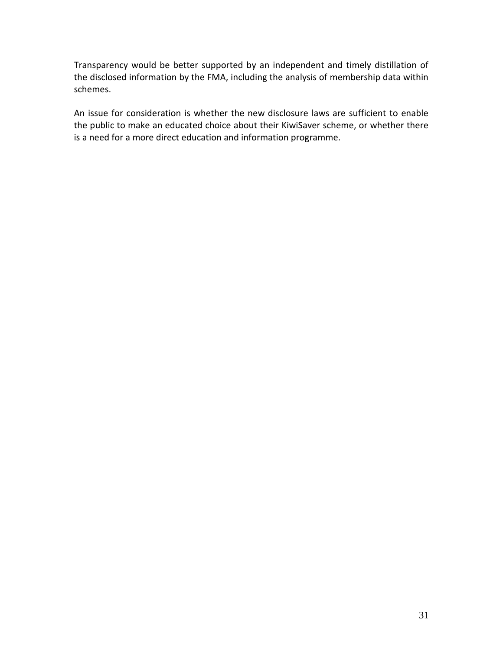Transparency would be better supported by an independent and timely distillation of the disclosed information by the FMA, including the analysis of membership data within schemes.

An issue for consideration is whether the new disclosure laws are sufficient to enable the public to make an educated choice about their KiwiSaver scheme, or whether there is a need for a more direct education and information programme.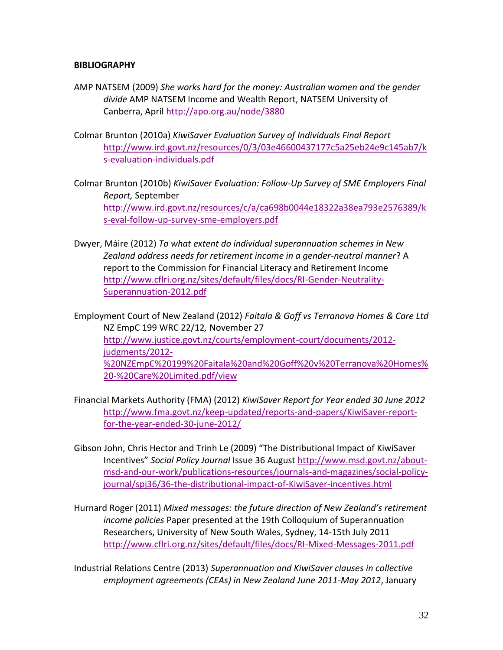#### <span id="page-31-0"></span>**BIBLIOGRAPHY**

- AMP NATSEM (2009) *She works hard for the money: Australian women and the gender divide* AMP NATSEM Income and Wealth Report, NATSEM University of Canberra, April<http://apo.org.au/node/3880>
- Colmar Brunton (2010a) *KiwiSaver Evaluation Survey of Individuals Final Report* [http://www.ird.govt.nz/resources/0/3/03e46600437177c5a25eb24e9c145ab7/k](http://www.ird.govt.nz/resources/0/3/03e46600437177c5a25eb24e9c145ab7/ks-evaluation-individuals.pdf) [s-evaluation-individuals.pdf](http://www.ird.govt.nz/resources/0/3/03e46600437177c5a25eb24e9c145ab7/ks-evaluation-individuals.pdf)
- Colmar Brunton (2010b) *KiwiSaver Evaluation: Follow-Up Survey of SME Employers Final Report,* September [http://www.ird.govt.nz/resources/c/a/ca698b0044e18322a38ea793e2576389/k](http://www.ird.govt.nz/resources/c/a/ca698b0044e18322a38ea793e2576389/ks-eval-follow-up-survey-sme-employers.pdf) [s-eval-follow-up-survey-sme-employers.pdf](http://www.ird.govt.nz/resources/c/a/ca698b0044e18322a38ea793e2576389/ks-eval-follow-up-survey-sme-employers.pdf)
- Dwyer, Máire (2012) *To what extent do individual superannuation schemes in New Zealand address needs for retirement income in a gender-neutral manner*? A report to the Commission for Financial Literacy and Retirement Income [http://www.cflri.org.nz/sites/default/files/docs/RI-Gender-Neutrality-](http://www.cflri.org.nz/sites/default/files/docs/RI-Gender-Neutrality-Superannuation-2012.pdf)[Superannuation-2012.pdf](http://www.cflri.org.nz/sites/default/files/docs/RI-Gender-Neutrality-Superannuation-2012.pdf)

Employment Court of New Zealand (2012) *Faitala & Goff vs Terranova Homes & Care Ltd* NZ EmpC 199 WRC 22/12*,* November 27 [http://www.justice.govt.nz/courts/employment-court/documents/2012](http://www.justice.govt.nz/courts/employment-court/documents/2012-judgments/2012-%20NZEmpC%20199%20Faitala%20and%20Goff%20v%20Terranova%20Homes%20-%20Care%20Limited.pdf/view) [judgments/2012-](http://www.justice.govt.nz/courts/employment-court/documents/2012-judgments/2012-%20NZEmpC%20199%20Faitala%20and%20Goff%20v%20Terranova%20Homes%20-%20Care%20Limited.pdf/view) [%20NZEmpC%20199%20Faitala%20and%20Goff%20v%20Terranova%20Homes%](http://www.justice.govt.nz/courts/employment-court/documents/2012-judgments/2012-%20NZEmpC%20199%20Faitala%20and%20Goff%20v%20Terranova%20Homes%20-%20Care%20Limited.pdf/view) [20-%20Care%20Limited.pdf/view](http://www.justice.govt.nz/courts/employment-court/documents/2012-judgments/2012-%20NZEmpC%20199%20Faitala%20and%20Goff%20v%20Terranova%20Homes%20-%20Care%20Limited.pdf/view)

- Financial Markets Authority (FMA) (2012) *KiwiSaver Report for Year ended 30 June 2012* [http://www.fma.govt.nz/keep-updated/reports-and-papers/KiwiSaver-report](http://www.fma.govt.nz/keep-updated/reports-and-papers/kiwisaver-report-for-the-year-ended-30-june-2012/)[for-the-year-ended-30-june-2012/](http://www.fma.govt.nz/keep-updated/reports-and-papers/kiwisaver-report-for-the-year-ended-30-june-2012/)
- Gibson John, Chris Hector and Trinh Le (2009) "The Distributional Impact of KiwiSaver Incentives" *Social Policy Journal* Issue 36 August [http://www.msd.govt.nz/about](http://www.msd.govt.nz/about-msd-and-our-work/publications-resources/journals-and-magazines/social-policy-journal/spj36/36-the-distributional-impact-of-kiwisaver-incentives.html)[msd-and-our-work/publications-resources/journals-and-magazines/social-policy](http://www.msd.govt.nz/about-msd-and-our-work/publications-resources/journals-and-magazines/social-policy-journal/spj36/36-the-distributional-impact-of-kiwisaver-incentives.html)[journal/spj36/36-the-distributional-impact-of-KiwiSaver-incentives.html](http://www.msd.govt.nz/about-msd-and-our-work/publications-resources/journals-and-magazines/social-policy-journal/spj36/36-the-distributional-impact-of-kiwisaver-incentives.html)
- Hurnard Roger (2011) *Mixed messages: the future direction of New Zealand's retirement income policies* Paper presented at the 19th Colloquium of Superannuation Researchers, University of New South Wales, Sydney, 14-15th July 2011 <http://www.cflri.org.nz/sites/default/files/docs/RI-Mixed-Messages-2011.pdf>
- Industrial Relations Centre (2013) *Superannuation and KiwiSaver clauses in collective employment agreements (CEAs) in New Zealand June 2011-May 2012*, January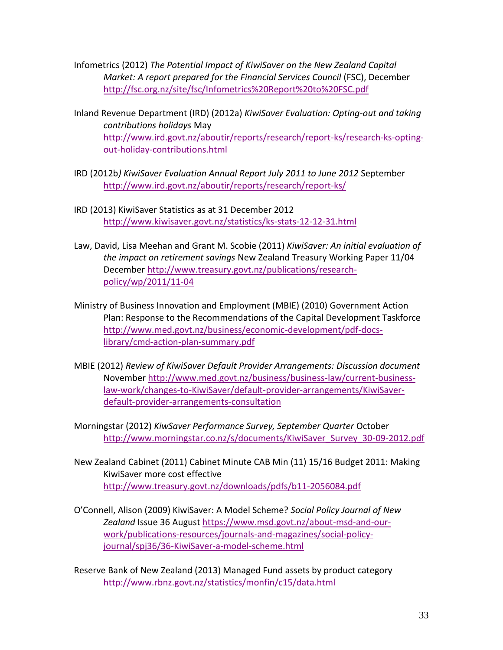Infometrics (2012) *The Potential Impact of KiwiSaver on the New Zealand Capital Market: A report prepared for the Financial Services Council (FSC), December* <http://fsc.org.nz/site/fsc/Infometrics%20Report%20to%20FSC.pdf>

- Inland Revenue Department (IRD) (2012a) *KiwiSaver Evaluation: Opting-out and taking contributions holidays* May [http://www.ird.govt.nz/aboutir/reports/research/report-ks/research-ks-opting](http://www.ird.govt.nz/aboutir/reports/research/report-ks/research-ks-opting-out-holiday-contributions.html)[out-holiday-contributions.html](http://www.ird.govt.nz/aboutir/reports/research/report-ks/research-ks-opting-out-holiday-contributions.html)
- IRD (2012b*) KiwiSaver Evaluation Annual Report July 2011 to June 2012* September <http://www.ird.govt.nz/aboutir/reports/research/report-ks/>
- IRD (2013) KiwiSaver Statistics as at 31 December 2012 <http://www.kiwisaver.govt.nz/statistics/ks-stats-12-12-31.html>
- Law, David, Lisa Meehan and Grant M. Scobie (2011) *KiwiSaver: An initial evaluation of the impact on retirement savings* New Zealand Treasury Working Paper 11/04 December [http://www.treasury.govt.nz/publications/research](http://www.treasury.govt.nz/publications/research-policy/wp/2011/11-04)[policy/wp/2011/11-04](http://www.treasury.govt.nz/publications/research-policy/wp/2011/11-04)
- Ministry of Business Innovation and Employment (MBIE) (2010) Government Action Plan: Response to the Recommendations of the Capital Development Taskforce [http://www.med.govt.nz/business/economic-development/pdf-docs](http://www.med.govt.nz/business/economic-development/pdf-docs-library/cmd-action-plan-summary.pdf)[library/cmd-action-plan-summary.pdf](http://www.med.govt.nz/business/economic-development/pdf-docs-library/cmd-action-plan-summary.pdf)
- MBIE (2012) *Review of KiwiSaver Default Provider Arrangements: Discussion document* November [http://www.med.govt.nz/business/business-law/current-business](http://www.med.govt.nz/business/business-law/current-business-law-work/changes-to-kiwisaver/default-provider-arrangements/kiwisaver-default-provider-arrangements-consultation)[law-work/changes-to-KiwiSaver/default-provider-arrangements/KiwiSaver](http://www.med.govt.nz/business/business-law/current-business-law-work/changes-to-kiwisaver/default-provider-arrangements/kiwisaver-default-provider-arrangements-consultation)[default-provider-arrangements-consultation](http://www.med.govt.nz/business/business-law/current-business-law-work/changes-to-kiwisaver/default-provider-arrangements/kiwisaver-default-provider-arrangements-consultation)
- Morningstar (2012) *KiwSaver Performance Survey, September Quarter* October [http://www.morningstar.co.nz/s/documents/KiwiSaver\\_Survey\\_30-09-2012.pdf](http://www.morningstar.co.nz/s/documents/KiwiSaver_Survey_30-09-2012.pdf)
- New Zealand Cabinet (2011) Cabinet Minute CAB Min (11) 15/16 Budget 2011: Making KiwiSaver more cost effective <http://www.treasury.govt.nz/downloads/pdfs/b11-2056084.pdf>
- O'Connell, Alison (2009) KiwiSaver: A Model Scheme? *Social Policy Journal of New Zealand* Issue 36 August [https://www.msd.govt.nz/about-msd-and-our](https://www.msd.govt.nz/about-msd-and-our-work/publications-resources/journals-and-magazines/social-policy-journal/spj36/36-kiwisaver-a-model-scheme.html)[work/publications-resources/journals-and-magazines/social-policy](https://www.msd.govt.nz/about-msd-and-our-work/publications-resources/journals-and-magazines/social-policy-journal/spj36/36-kiwisaver-a-model-scheme.html)[journal/spj36/36-KiwiSaver-a-model-scheme.html](https://www.msd.govt.nz/about-msd-and-our-work/publications-resources/journals-and-magazines/social-policy-journal/spj36/36-kiwisaver-a-model-scheme.html)

Reserve Bank of New Zealand (2013) Managed Fund assets by product category <http://www.rbnz.govt.nz/statistics/monfin/c15/data.html>